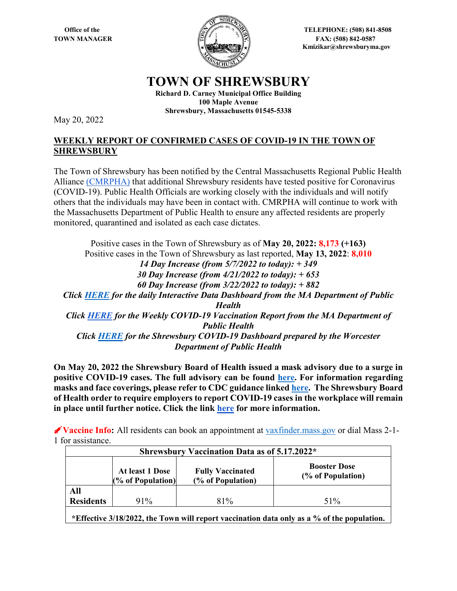

**Office of the Server Street Algebra 2008 12508 CHECPHONE: (508) 841-8508 TOWN MANAGER** FAX: (508) 842-0587  **Kmizikar@shrewsburyma.gov**

## **TOWN OF SHREWSBURY**

**Richard D. Carney Municipal Office Building 100 Maple Avenue Shrewsbury, Massachusetts 01545-5338**

May 20, 2022

## **WEEKLY REPORT OF CONFIRMED CASES OF COVID-19 IN THE TOWN OF SHREWSBURY**

The Town of Shrewsbury has been notified by the Central Massachusetts Regional Public Health Alliance [\(CMRPHA\)](http://www.worcesterma.gov/public-health/regional-public-health) that additional Shrewsbury residents have tested positive for Coronavirus (COVID-19). Public Health Officials are working closely with the individuals and will notify others that the individuals may have been in contact with. CMRPHA will continue to work with the Massachusetts Department of Public Health to ensure any affected residents are properly monitored, quarantined and isolated as each case dictates.

Positive cases in the Town of Shrewsbury as of **May 20, 2022: 8,173 (+163)** Positive cases in the Town of Shrewsbury as last reported, **May 13, 2022**: **8,010**  *14 Day Increase (from 5/7/2022 to today): + 349 30 Day Increase (from 4/21/2022 to today): + 653 60 Day Increase (from 3/22/2022 to today): + 882 Click [HERE](https://www.mass.gov/info-details/covid-19-response-reporting#covid-19-interactive-data-dashboard-) for the daily Interactive Data Dashboard from the MA Department of Public Health Click [HERE](https://www.mass.gov/doc/weekly-covid-19-vaccination-report-may-19-2022/download) for the Weekly COVID-19 Vaccination Report from the MA Department of Public Health Click [HERE](https://public.tableau.com/app/profile/cityofworcesterma.innovationoffice/viz/COVIDDashboardv2_1-Shrewsbury/ShrewsburyCOVID-19Dashboard) for the Shrewsbury COVID-19 Dashboard prepared by the Worcester Department of Public Health*

**On May 20, 2022 the Shrewsbury Board of Health issued a mask advisory due to a surge in positive COVID-19 cases. The full advisory can be found [here.](https://shrewsburyma.gov/DocumentCenter/View/11682/Shrewsbury-BOH-Mask-Advisory-05-20-22-PDF) For information regarding masks and face coverings, please refer to CDC guidance linke[d here.](https://www.cdc.gov/coronavirus/2019-nCoV/index.html) The Shrewsbury Board of Health order to require employers to report COVID-19 cases in the workplace will remain in place until further notice. Click the link [here](https://shrewsburyma.gov/CivicAlerts.aspx?AID=6209) for more information.** 

**Vaccine Info:** All residents can book an appointment at [vaxfinder.mass.gov](https://www.mass.gov/covid-19-vaccine?n) or dial Mass 2-1- 1 for assistance.

| Shrewsbury Vaccination Data as of 5.17.2022* |                                      |                                              |                                          |  |  |  |
|----------------------------------------------|--------------------------------------|----------------------------------------------|------------------------------------------|--|--|--|
|                                              | At least 1 Dose<br>(% of Population) | <b>Fully Vaccinated</b><br>(% of Population) | <b>Booster Dose</b><br>(% of Population) |  |  |  |
| All                                          |                                      |                                              |                                          |  |  |  |
| <b>Residents</b>                             | $91\%$                               | 81%                                          | 51%                                      |  |  |  |
|                                              |                                      |                                              |                                          |  |  |  |

**\*Effective 3/18/2022, the Town will report vaccination data only as a % of the population.**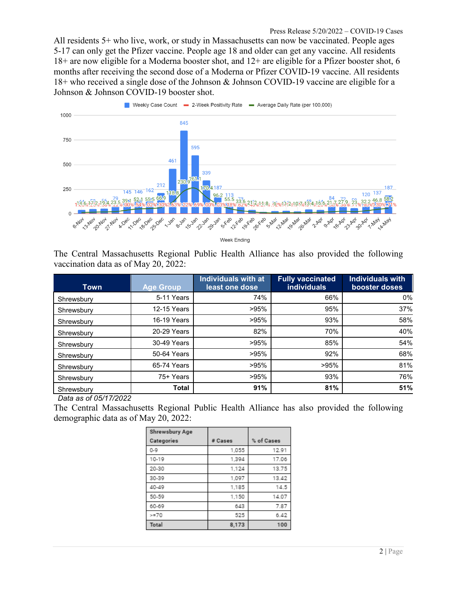All residents 5+ who live, work, or study in Massachusetts can now be vaccinated. People ages 5-17 can only get the Pfizer vaccine. People age 18 and older can get any vaccine. All residents 18+ are now eligible for a Moderna booster shot, and 12+ are eligible for a Pfizer booster shot, 6 months after receiving the second dose of a Moderna or Pfizer COVID-19 vaccine. All residents 18+ who received a single dose of the Johnson & Johnson COVID-19 vaccine are eligible for a Johnson & Johnson COVID-19 booster shot.



The Central Massachusetts Regional Public Health Alliance has also provided the following vaccination data as of May 20, 2022:

| Town       | <b>Age Group</b> | <b>Individuals with at</b><br>least one dose | <b>Fully vaccinated</b><br><b>individuals</b> | <b>Individuals with</b><br>booster doses |
|------------|------------------|----------------------------------------------|-----------------------------------------------|------------------------------------------|
| Shrewsbury | 5-11 Years       | 74%                                          | 66%                                           | 0%                                       |
| Shrewsbury | 12-15 Years      | >95%                                         | 95%                                           | 37%                                      |
| Shrewsbury | 16-19 Years      | >95%                                         | 93%                                           | 58%                                      |
| Shrewsbury | 20-29 Years      | 82%                                          | 70%                                           | 40%                                      |
| Shrewsbury | 30-49 Years      | >95%                                         | 85%                                           | 54%                                      |
| Shrewsbury | 50-64 Years      | >95%                                         | 92%                                           | 68%                                      |
| Shrewsbury | 65-74 Years      | >95%                                         | >95%                                          | 81%                                      |
| Shrewsbury | 75+ Years        | >95%                                         | 93%                                           | 76%                                      |
| Shrewsbury | <b>Total</b>     | 91%                                          | 81%                                           | 51%                                      |

*Data as of 05/17/2022*

The Central Massachusetts Regional Public Health Alliance has also provided the following demographic data as of May 20, 2022:

| Shrewsbury Age |         |            |
|----------------|---------|------------|
| Categories     | # Cases | % of Cases |
| $0 - 9$        | 1,055   | 12.91      |
| 10-19          | 1,394   | 17.06      |
| 20-30          | 1,124   | 13.75      |
| 30-39          | 1.097   | 13.42      |
| 40-49          | 1,185   | 14.5       |
| 50-59          | 1,150   | 14.07      |
| 60-69          | 643     | 7.87       |
| $=70$          | 525     | 6.42       |
| Total          | 8,173   | 100        |